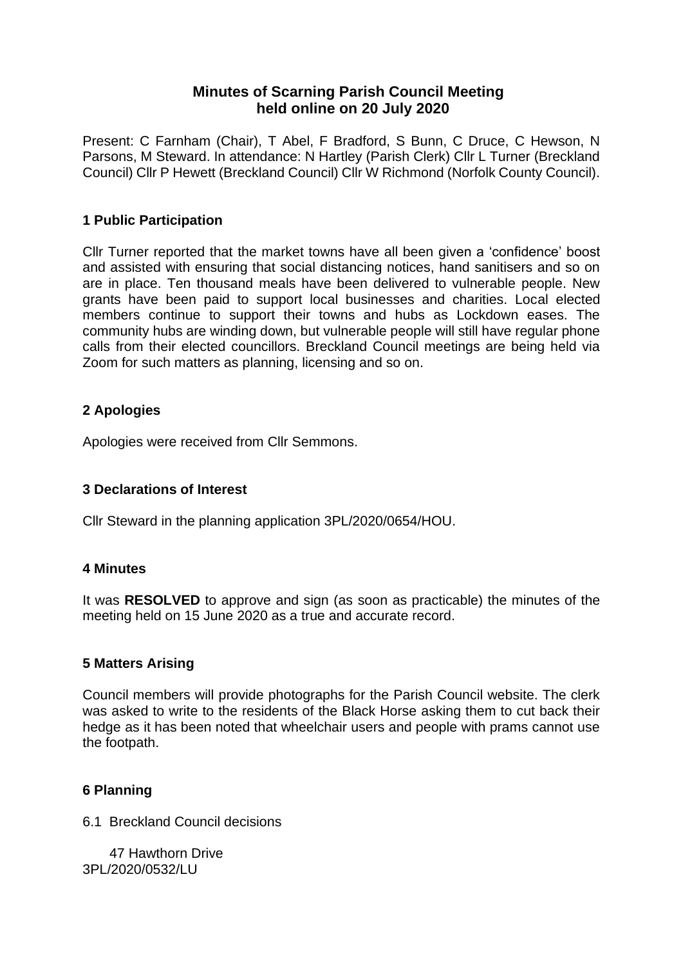# **Minutes of Scarning Parish Council Meeting held online on 20 July 2020**

Present: C Farnham (Chair), T Abel, F Bradford, S Bunn, C Druce, C Hewson, N Parsons, M Steward. In attendance: N Hartley (Parish Clerk) Cllr L Turner (Breckland Council) Cllr P Hewett (Breckland Council) Cllr W Richmond (Norfolk County Council).

## **1 Public Participation**

Cllr Turner reported that the market towns have all been given a 'confidence' boost and assisted with ensuring that social distancing notices, hand sanitisers and so on are in place. Ten thousand meals have been delivered to vulnerable people. New grants have been paid to support local businesses and charities. Local elected members continue to support their towns and hubs as Lockdown eases. The community hubs are winding down, but vulnerable people will still have regular phone calls from their elected councillors. Breckland Council meetings are being held via Zoom for such matters as planning, licensing and so on.

# **2 Apologies**

Apologies were received from Cllr Semmons.

### **3 Declarations of Interest**

Cllr Steward in the planning application 3PL/2020/0654/HOU.

### **4 Minutes**

It was **RESOLVED** to approve and sign (as soon as practicable) the minutes of the meeting held on 15 June 2020 as a true and accurate record.

### **5 Matters Arising**

Council members will provide photographs for the Parish Council website. The clerk was asked to write to the residents of the Black Horse asking them to cut back their hedge as it has been noted that wheelchair users and people with prams cannot use the footpath.

### **6 Planning**

6.1 Breckland Council decisions

 47 Hawthorn Drive 3PL/2020/0532/LU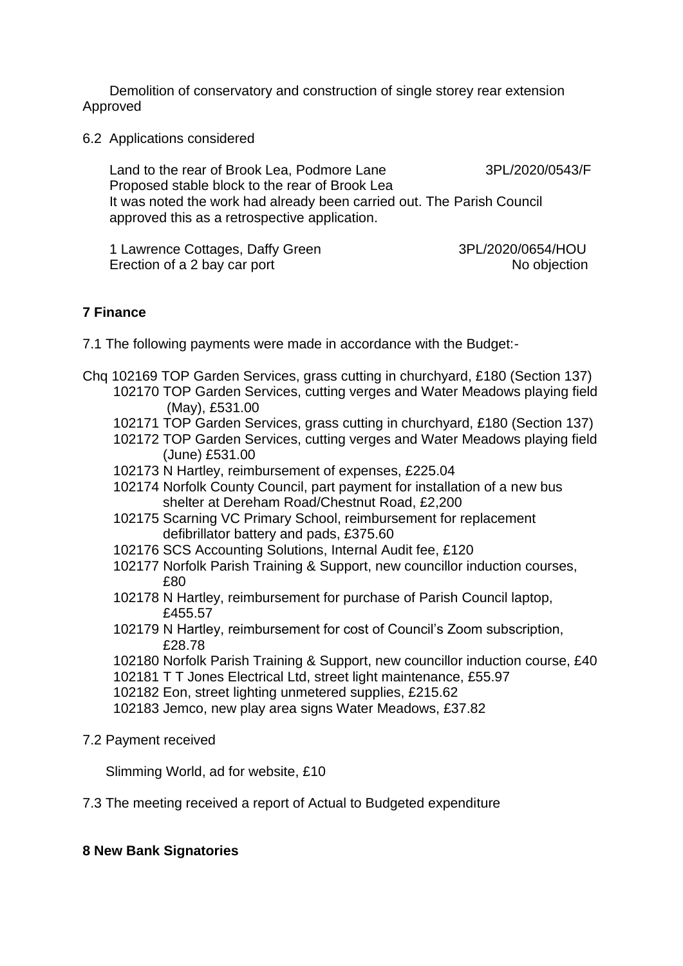Demolition of conservatory and construction of single storey rear extension Approved

6.2 Applications considered

Land to the rear of Brook Lea, Podmore Lane 3PL/2020/0543/F Proposed stable block to the rear of Brook Lea It was noted the work had already been carried out. The Parish Council approved this as a retrospective application.

 1 Lawrence Cottages, Daffy Green 3PL/2020/0654/HOU Erection of a 2 bay car port No objection

## **7 Finance**

- 7.1 The following payments were made in accordance with the Budget:-
- Chq 102169 TOP Garden Services, grass cutting in churchyard, £180 (Section 137) 102170 TOP Garden Services, cutting verges and Water Meadows playing field (May), £531.00
	- 102171 TOP Garden Services, grass cutting in churchyard, £180 (Section 137)
	- 102172 TOP Garden Services, cutting verges and Water Meadows playing field (June) £531.00
	- 102173 N Hartley, reimbursement of expenses, £225.04
	- 102174 Norfolk County Council, part payment for installation of a new bus shelter at Dereham Road/Chestnut Road, £2,200
	- 102175 Scarning VC Primary School, reimbursement for replacement defibrillator battery and pads, £375.60
	- 102176 SCS Accounting Solutions, Internal Audit fee, £120
	- 102177 Norfolk Parish Training & Support, new councillor induction courses, £80
	- 102178 N Hartley, reimbursement for purchase of Parish Council laptop, £455.57
	- 102179 N Hartley, reimbursement for cost of Council's Zoom subscription, £28.78
	- 102180 Norfolk Parish Training & Support, new councillor induction course, £40
	- 102181 T T Jones Electrical Ltd, street light maintenance, £55.97
	- 102182 Eon, street lighting unmetered supplies, £215.62
	- 102183 Jemco, new play area signs Water Meadows, £37.82
- 7.2 Payment received

Slimming World, ad for website, £10

7.3 The meeting received a report of Actual to Budgeted expenditure

#### **8 New Bank Signatories**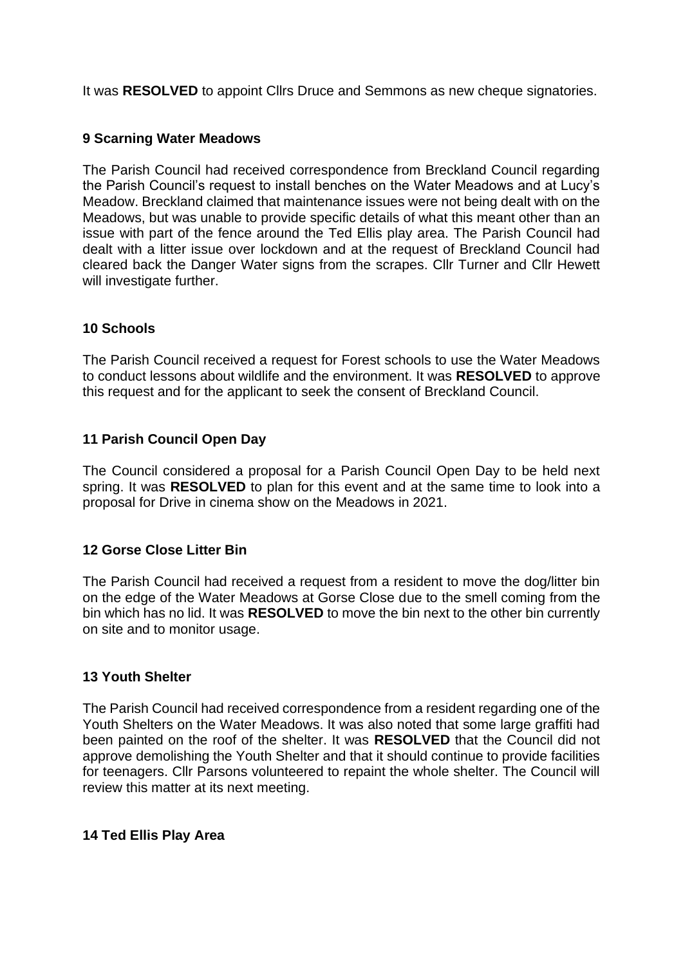It was **RESOLVED** to appoint Cllrs Druce and Semmons as new cheque signatories.

# **9 Scarning Water Meadows**

The Parish Council had received correspondence from Breckland Council regarding the Parish Council's request to install benches on the Water Meadows and at Lucy's Meadow. Breckland claimed that maintenance issues were not being dealt with on the Meadows, but was unable to provide specific details of what this meant other than an issue with part of the fence around the Ted Ellis play area. The Parish Council had dealt with a litter issue over lockdown and at the request of Breckland Council had cleared back the Danger Water signs from the scrapes. Cllr Turner and Cllr Hewett will investigate further.

## **10 Schools**

The Parish Council received a request for Forest schools to use the Water Meadows to conduct lessons about wildlife and the environment. It was **RESOLVED** to approve this request and for the applicant to seek the consent of Breckland Council.

## **11 Parish Council Open Day**

The Council considered a proposal for a Parish Council Open Day to be held next spring. It was **RESOLVED** to plan for this event and at the same time to look into a proposal for Drive in cinema show on the Meadows in 2021.

### **12 Gorse Close Litter Bin**

The Parish Council had received a request from a resident to move the dog/litter bin on the edge of the Water Meadows at Gorse Close due to the smell coming from the bin which has no lid. It was **RESOLVED** to move the bin next to the other bin currently on site and to monitor usage.

### **13 Youth Shelter**

The Parish Council had received correspondence from a resident regarding one of the Youth Shelters on the Water Meadows. It was also noted that some large graffiti had been painted on the roof of the shelter. It was **RESOLVED** that the Council did not approve demolishing the Youth Shelter and that it should continue to provide facilities for teenagers. Cllr Parsons volunteered to repaint the whole shelter. The Council will review this matter at its next meeting.

### **14 Ted Ellis Play Area**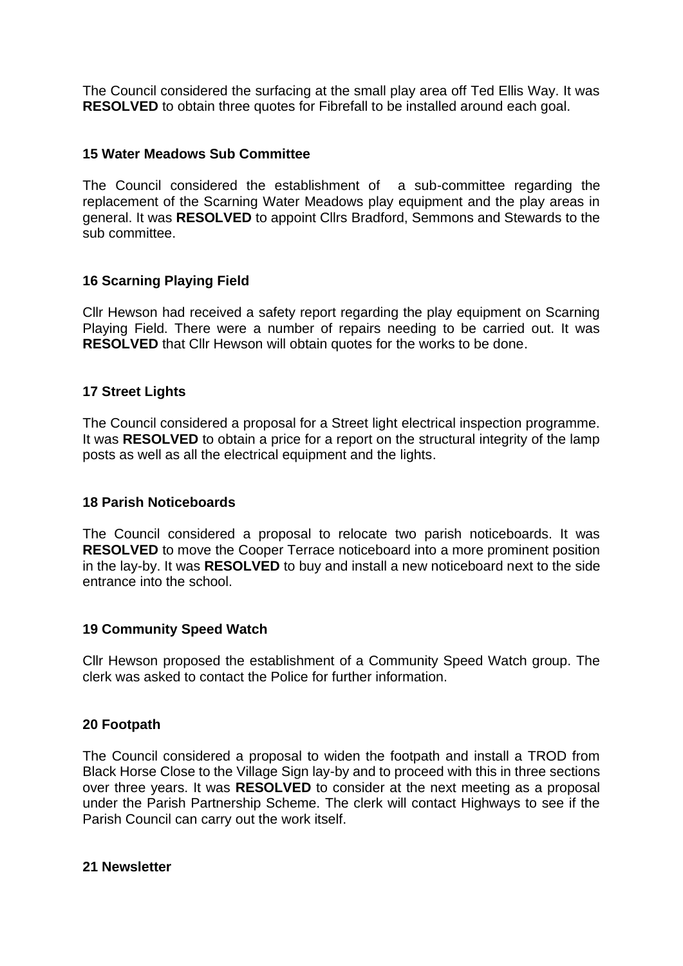The Council considered the surfacing at the small play area off Ted Ellis Way. It was **RESOLVED** to obtain three quotes for Fibrefall to be installed around each goal.

### **15 Water Meadows Sub Committee**

The Council considered the establishment of a sub-committee regarding the replacement of the Scarning Water Meadows play equipment and the play areas in general. It was **RESOLVED** to appoint Cllrs Bradford, Semmons and Stewards to the sub committee.

### **16 Scarning Playing Field**

Cllr Hewson had received a safety report regarding the play equipment on Scarning Playing Field. There were a number of repairs needing to be carried out. It was **RESOLVED** that Cllr Hewson will obtain quotes for the works to be done.

#### **17 Street Lights**

The Council considered a proposal for a Street light electrical inspection programme. It was **RESOLVED** to obtain a price for a report on the structural integrity of the lamp posts as well as all the electrical equipment and the lights.

#### **18 Parish Noticeboards**

The Council considered a proposal to relocate two parish noticeboards. It was **RESOLVED** to move the Cooper Terrace noticeboard into a more prominent position in the lay-by. It was **RESOLVED** to buy and install a new noticeboard next to the side entrance into the school.

### **19 Community Speed Watch**

Cllr Hewson proposed the establishment of a Community Speed Watch group. The clerk was asked to contact the Police for further information.

### **20 Footpath**

The Council considered a proposal to widen the footpath and install a TROD from Black Horse Close to the Village Sign lay-by and to proceed with this in three sections over three years. It was **RESOLVED** to consider at the next meeting as a proposal under the Parish Partnership Scheme. The clerk will contact Highways to see if the Parish Council can carry out the work itself.

#### **21 Newsletter**